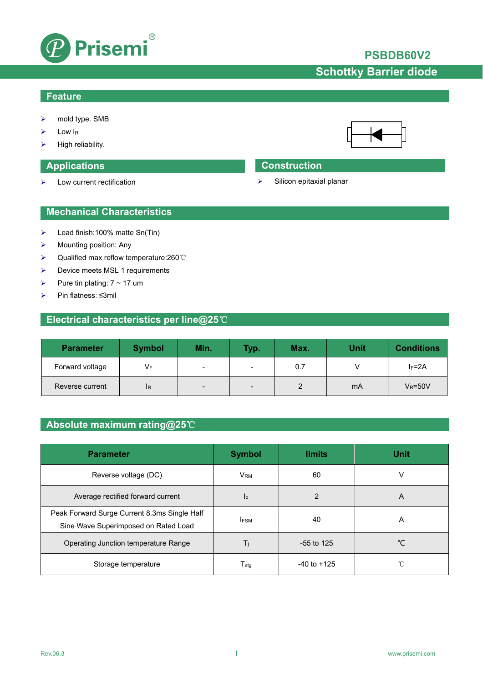

## **PSBDB60V2**

# **Schottky Barrier diode**

### **Feature**

- mold type. SMB
- Low IR
- High reliability.

 $\triangleright$  Low current rectification

### **Applications Construction**

 $\triangleright$  Silicon epitaxial planar

### **Mechanical Characteristics**

- $\blacktriangleright$  Lead finish:100% matte Sn(Tin)
- $\triangleright$  Mounting position: Any
- Qualified max reflow temperature:260℃
- > Device meets MSL 1 requirements
- Pure tin plating:  $7 \sim 17$  um
- Pin flatness:≤3mil

## **Electrical characteristics per line@25**℃

| <b>Parameter</b> | <b>Symbol</b> | Min.           | <b>Typ.</b>              | Max. | <b>Unit</b> | <b>Conditions</b> |
|------------------|---------------|----------------|--------------------------|------|-------------|-------------------|
| Forward voltage  | VF            | $\blacksquare$ | $\overline{\phantom{0}}$ | 0.7  |             | $I_F = 2A$        |
| Reverse current  | <b>IR</b>     | -              | $\qquad \qquad$          |      | mA          | $V_R = 50V$       |

## **Absolute maximum rating@25**℃

| <b>Parameter</b>                                                                     | <b>Symbol</b>          | <b>limits</b>   | <b>Unit</b> |
|--------------------------------------------------------------------------------------|------------------------|-----------------|-------------|
| Reverse voltage (DC)                                                                 | <b>V</b> <sub>RM</sub> | 60              | v           |
| Average rectified forward current                                                    | Ιo                     | 2               | A           |
| Peak Forward Surge Current 8.3ms Single Half<br>Sine Wave Superimposed on Rated Load | <b>IFSM</b>            | 40              | A           |
| Operating Junction temperature Range                                                 | Ti                     | $-55$ to 125    | °C          |
| Storage temperature                                                                  | $T_{\rm stg}$          | $-40$ to $+125$ | °C          |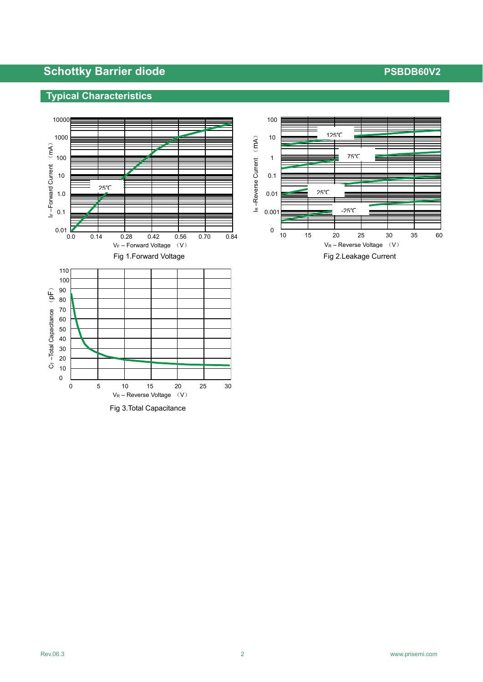# **Schottky Barrier diode PSBDB60V2**

## **Typical Characteristics**



Fig 3.Total Capacitance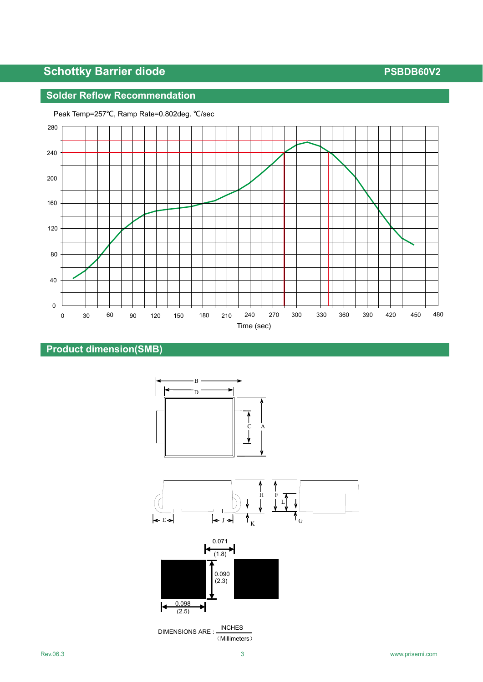# **Schottky Barrier diode PSBDB60V2**

## **Solder Reflow Recommendation**



Peak Temp=257℃, Ramp Rate=0.802deg. ℃/sec



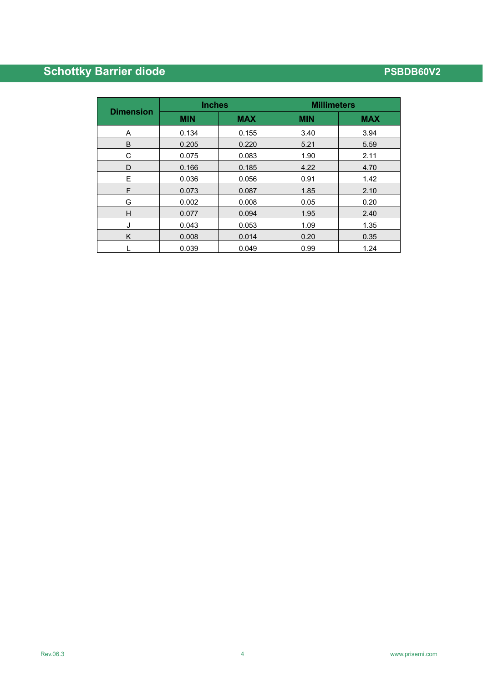# **Schottky Barrier diode PSBDB60V2**

|                  | <b>Inches</b> |            | <b>Millimeters</b> |            |  |
|------------------|---------------|------------|--------------------|------------|--|
| <b>Dimension</b> | <b>MIN</b>    | <b>MAX</b> | <b>MIN</b>         | <b>MAX</b> |  |
| A                | 0.134         | 0.155      | 3.40               | 3.94       |  |
| B                | 0.205         | 0.220      | 5.21               | 5.59       |  |
| С                | 0.075         | 0.083      | 1.90               | 2.11       |  |
| D                | 0.166         | 0.185      | 4.22               | 4.70       |  |
| E                | 0.036         | 0.056      | 0.91               | 1.42       |  |
| F                | 0.073         | 0.087      | 1.85               | 2.10       |  |
| G                | 0.002         | 0.008      | 0.05               | 0.20       |  |
| H                | 0.077         | 0.094      | 1.95               | 2.40       |  |
| J                | 0.043         | 0.053      | 1.09               | 1.35       |  |
| K                | 0.008         | 0.014      | 0.20               | 0.35       |  |
|                  | 0.039         | 0.049      | 0.99               | 1.24       |  |